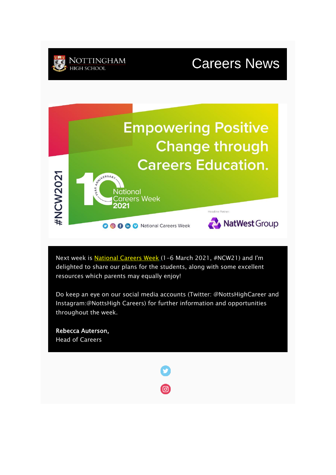## **Careers News**



Next week is [National Careers Week](https://ncw2020.co.uk/booklets-guides/) (1-6 March 2021, #NCW21) and I'm delighted to share our plans for the students, along with some excellent resources which parents may equally enjoy!

Do keep an eye on our social media accounts (Twitter: @NottsHighCareer and Instagram:@NottsHigh Careers) for further information and opportunities throughout the week.

Rebecca Auterson, Head of Careers

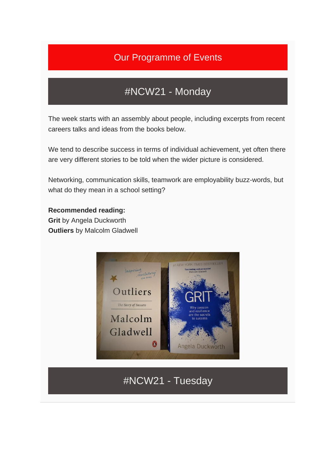### Our Programme of Events

### #NCW21 - Monday

The week starts with an assembly about people, including excerpts from recent careers talks and ideas from the books below.

We tend to describe success in terms of individual achievement, yet often there are very different stories to be told when the wider picture is considered.

Networking, communication skills, teamwork are employability buzz-words, but what do they mean in a school setting?

#### **Recommended reading:**

**Grit** by Angela Duckworth **Outliers** by Malcolm Gladwell



#NCW21 - Tuesday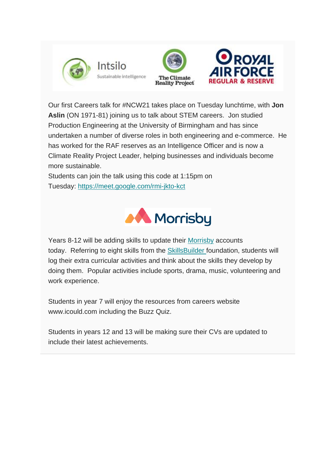





Our first Careers talk for #NCW21 takes place on Tuesday lunchtime, with **Jon Aslin** (ON 1971-81) joining us to talk about STEM careers. Jon studied Production Engineering at the University of Birmingham and has since undertaken a number of diverse roles in both engineering and e-commerce. He has worked for the RAF reserves as an Intelligence Officer and is now a Climate Reality Project Leader, helping businesses and individuals become more sustainable.

Students can join the talk using this code at 1:15pm on Tuesday: <https://meet.google.com/rmi-jkto-kct>



Years 8-12 will be adding skills to update their [Morrisby](http://www.morrisby.com/) accounts today. Referring to eight skills from the [SkillsBuilder](http://www.skillsbuilder.org/) foundation, students will log their extra curricular activities and think about the skills they develop by doing them. Popular activities include sports, drama, music, volunteering and work experience.

Students in year 7 will enjoy the resources from careers website www.icould.com including the Buzz Quiz.

Students in years 12 and 13 will be making sure their CVs are updated to include their latest achievements.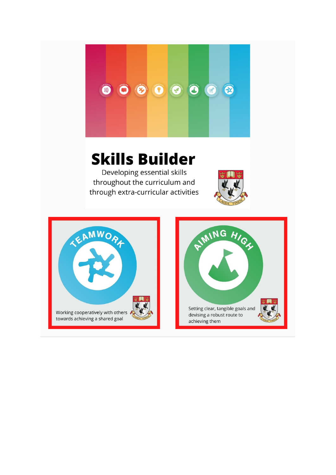

# **Skills Builder**

Developing essential skills throughout the curriculum and through extra-curricular activities



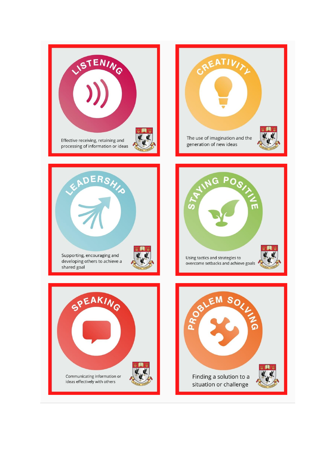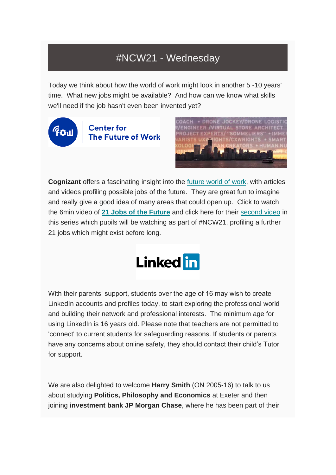### #NCW21 - Wednesday

Today we think about how the world of work might look in another 5 -10 years' time. What new jobs might be available? And how can we know what skills we'll need if the job hasn't even been invented yet?



**Center for** The Future of Work



**Cognizant** offers a fascinating insight into the [future world of work,](https://www.cognizant.com/futureofwork/21-jobs) with articles and videos profiling possible jobs of the future. They are great fun to imagine and really give a good idea of many areas that could open up. Click to watch the 6min video of **[21 Jobs of the Future](https://www.youtube.com/watch?v=-_GZoNekBOQ)** and click here for their [second video](https://www.cognizant.com/futureofwork/video/21-more-jobs-of-the-future-video) in this series which pupils will be watching as part of #NCW21, profiling a further 21 jobs which might exist before long.



With their parents' support, students over the age of 16 may wish to create LinkedIn accounts and profiles today, to start exploring the professional world and building their network and professional interests. The minimum age for using LinkedIn is 16 years old. Please note that teachers are not permitted to 'connect' to current students for safeguarding reasons. If students or parents have any concerns about online safety, they should contact their child's Tutor for support.

We are also delighted to welcome **Harry Smith** (ON 2005-16) to talk to us about studying **Politics, Philosophy and Economics** at Exeter and then joining **investment bank JP Morgan Chase**, where he has been part of their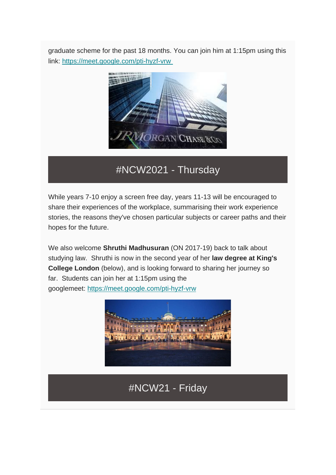graduate scheme for the past 18 months. You can join him at 1:15pm using this link: <https://meet.google.com/pti-hyzf-vrw>



#NCW2021 - Thursday

While years 7-10 enjoy a screen free day, years 11-13 will be encouraged to share their experiences of the workplace, summarising their work experience stories, the reasons they've chosen particular subjects or career paths and their hopes for the future.

We also welcome **Shruthi Madhusuran** (ON 2017-19) back to talk about studying law. Shruthi is now in the second year of her **law degree at King's College London** (below), and is looking forward to sharing her journey so far. Students can join her at 1:15pm using the googlemeet: <https://meet.google.com/pti-hyzf-vrw>



### #NCW21 - Friday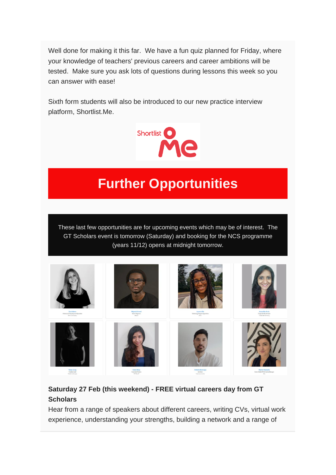Well done for making it this far. We have a fun quiz planned for Friday, where your knowledge of teachers' previous careers and career ambitions will be tested. Make sure you ask lots of questions during lessons this week so you can answer with ease!

Sixth form students will also be introduced to our new practice interview platform, Shortlist.Me.



# **Further Opportunities**

These last few opportunities are for upcoming events which may be of interest. The GT Scholars event is tomorrow (Saturday) and booking for the NCS programme (years 11/12) opens at midnight tomorrow.



#### **Saturday 27 Feb (this weekend) - FREE virtual careers day from GT Scholars**

Hear from a range of speakers about different careers, writing CVs, virtual work experience, understanding your strengths, building a network and a range of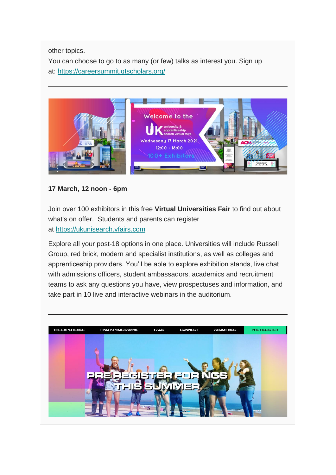other topics.

You can choose to go to as many (or few) talks as interest you. Sign up at: <https://careersummit.gtscholars.org/>



#### **17 March, 12 noon - 6pm**

Join over 100 exhibitors in this free **Virtual Universities Fair** to find out about what's on offer. Students and parents can register at [https://ukunisearch.vfairs.com](https://ukunisearch.vfairs.com/)

Explore all your post-18 options in one place. Universities will include Russell Group, red brick, modern and specialist institutions, as well as colleges and apprenticeship providers. You'll be able to explore exhibition stands, live chat with admissions officers, student ambassadors, academics and recruitment teams to ask any questions you have, view prospectuses and information, and take part in 10 live and interactive webinars in the auditorium.